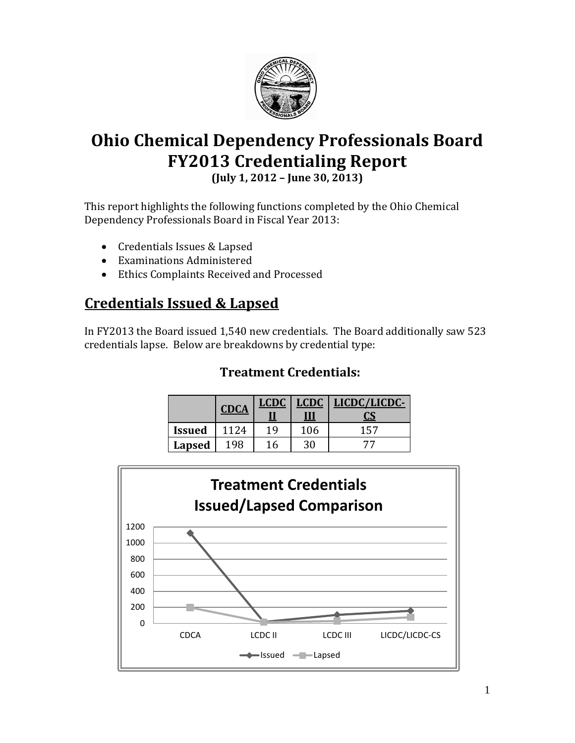

# **Ohio Chemical Dependency Professionals Board FY2013 Credentialing Report**

**(July 1, 2012 – June 30, 2013)**

This report highlights the following functions completed by the Ohio Chemical Dependency Professionals Board in Fiscal Year 2013:

- Credentials Issues & Lapsed
- Examinations Administered
- Ethics Complaints Received and Processed

## **Credentials Issued & Lapsed**

In FY2013 the Board issued 1,540 new credentials. The Board additionally saw 523 credentials lapse. Below are breakdowns by credential type:

#### **Treatment Credentials:**

|               | <b>CDCA</b> | <b>LCDC</b><br><u>u</u> | LCDC<br><u>III</u> | LICDC/LICDC-<br><u>CS</u> |
|---------------|-------------|-------------------------|--------------------|---------------------------|
| <b>Issued</b> | 1124        | 19                      | 106                | 157                       |
| Lapsed        | 198         | 16                      | 30                 |                           |

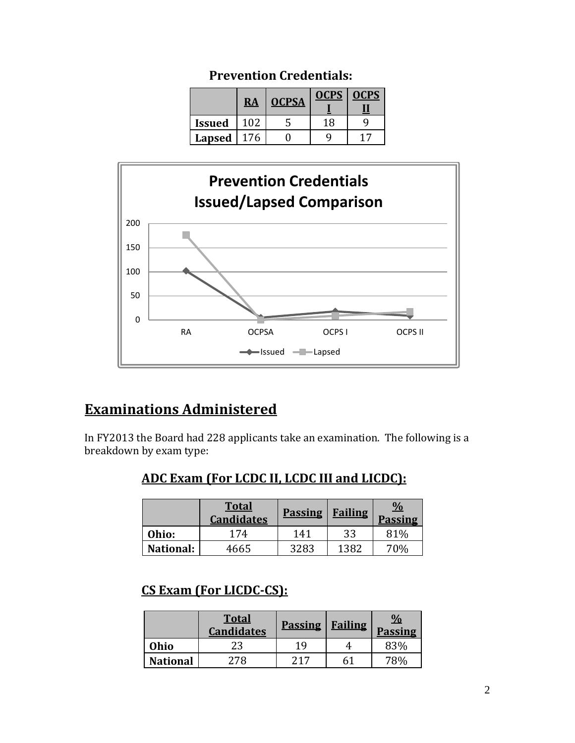|               | <u>RA</u> | <b>OCPSA</b> |    | LPS |
|---------------|-----------|--------------|----|-----|
| <b>Issued</b> | 102       |              | 18 |     |
| Lapsed        | 176       |              |    |     |





## **Examinations Administered**

In FY2013 the Board had 228 applicants take an examination. The following is a breakdown by exam type:

### **ADC Exam (For LCDC II, LCDC III and LICDC):**

|                  | <b>Total</b><br><b>Candidates</b> | <b>Passing</b> | <b>Failing</b> | $\frac{0}{0}$<br><b>Passing</b> |
|------------------|-----------------------------------|----------------|----------------|---------------------------------|
| Ohio:            | 174                               | 141            | 33             | 81%                             |
| <b>National:</b> | 4665                              | 3283           | 1382           | 70%                             |

#### **CS Exam (For LICDC-CS):**

|                 | <b>Total</b><br><b>Candidates</b> | <b>Passing</b> | <b>Failing</b> | $\%$<br><b>Passing</b> |
|-----------------|-----------------------------------|----------------|----------------|------------------------|
| Ohio            | 23                                | 19             |                | 83%                    |
| <b>National</b> | 278                               | 217            | 61             | 78%                    |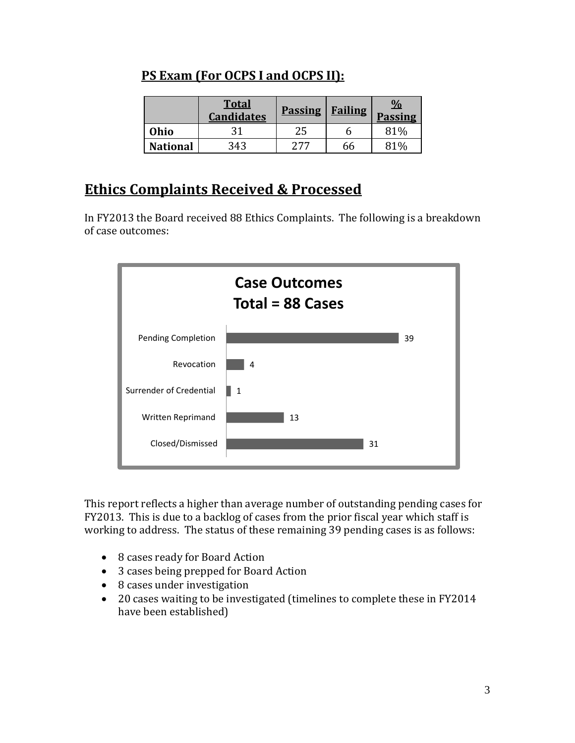|                 | <b>Total</b><br><b>Candidates</b> | <b>Passing</b> | <b>Failing</b> | $\frac{0}{0}$<br><b>Passing</b> |
|-----------------|-----------------------------------|----------------|----------------|---------------------------------|
| <b>Ohio</b>     |                                   | 25             |                | 81%                             |
| <b>National</b> | 343                               | ידר            | bb             | 81%                             |

#### **PS Exam (For OCPS I and OCPS II):**

## **Ethics Complaints Received & Processed**

In FY2013 the Board received 88 Ethics Complaints. The following is a breakdown of case outcomes:



This report reflects a higher than average number of outstanding pending cases for FY2013. This is due to a backlog of cases from the prior fiscal year which staff is working to address. The status of these remaining 39 pending cases is as follows:

- 8 cases ready for Board Action
- 3 cases being prepped for Board Action
- 8 cases under investigation
- 20 cases waiting to be investigated (timelines to complete these in FY2014 have been established)